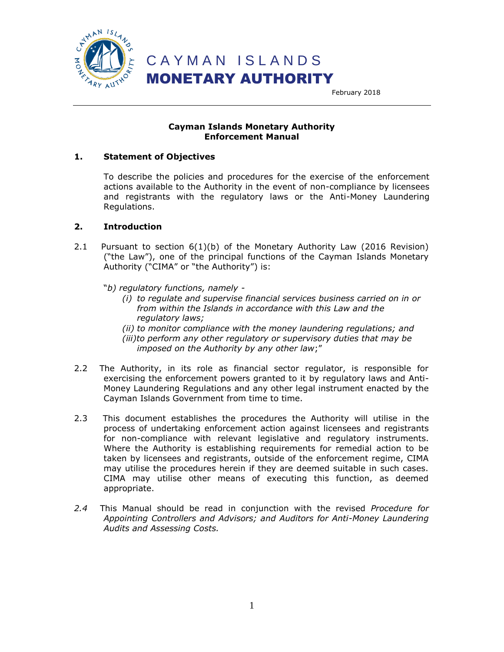

#### **Cayman Islands Monetary Authority Enforcement Manual**

#### **1. Statement of Objectives**

To describe the policies and procedures for the exercise of the enforcement actions available to the Authority in the event of non-compliance by licensees and registrants with the regulatory laws or the Anti-Money Laundering Regulations.

#### **2. Introduction**

- 2.1 Pursuant to section 6(1)(b) of the Monetary Authority Law (2016 Revision) ("the Law"), one of the principal functions of the Cayman Islands Monetary Authority ("CIMA" or "the Authority") is:
	- "*b) regulatory functions, namely -*
		- *(i) to regulate and supervise financial services business carried on in or from within the Islands in accordance with this Law and the regulatory laws;*
		- *(ii) to monitor compliance with the money laundering regulations; and*
		- *(iii)to perform any other regulatory or supervisory duties that may be imposed on the Authority by any other law*;"
- 2.2 The Authority, in its role as financial sector regulator, is responsible for exercising the enforcement powers granted to it by regulatory laws and Anti-Money Laundering Regulations and any other legal instrument enacted by the Cayman Islands Government from time to time.
- 2.3 This document establishes the procedures the Authority will utilise in the process of undertaking enforcement action against licensees and registrants for non-compliance with relevant legislative and regulatory instruments. Where the Authority is establishing requirements for remedial action to be taken by licensees and registrants, outside of the enforcement regime, CIMA may utilise the procedures herein if they are deemed suitable in such cases. CIMA may utilise other means of executing this function, as deemed appropriate.
- *2.4* This Manual should be read in conjunction with the revised *Procedure for Appointing Controllers and Advisors; and Auditors for Anti-Money Laundering Audits and Assessing Costs.*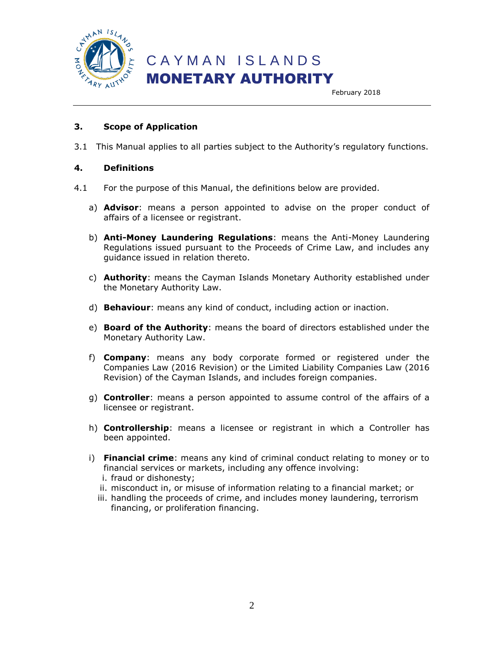

February 2018

#### **3. Scope of Application**

3.1 This Manual applies to all parties subject to the Authority's regulatory functions.

#### **4. Definitions**

- 4.1 For the purpose of this Manual, the definitions below are provided.
	- a) **Advisor**: means a person appointed to advise on the proper conduct of affairs of a licensee or registrant.
	- b) **Anti-Money Laundering Regulations**: means the Anti-Money Laundering Regulations issued pursuant to the Proceeds of Crime Law, and includes any guidance issued in relation thereto.
	- c) **Authority**: means the Cayman Islands Monetary Authority established under the Monetary Authority Law.
	- d) **Behaviour**: means any kind of conduct, including action or inaction.
	- e) **Board of the Authority**: means the board of directors established under the Monetary Authority Law.
	- f) **Company**: means any body corporate formed or registered under the Companies Law (2016 Revision) or the Limited Liability Companies Law (2016 Revision) of the Cayman Islands, and includes foreign companies.
	- g) **Controller**: means a person appointed to assume control of the affairs of a licensee or registrant.
	- h) **Controllership**: means a licensee or registrant in which a Controller has been appointed.
	- i) **Financial crime**: means any kind of criminal conduct relating to money or to financial services or markets, including any offence involving:
		- i. fraud or dishonesty;
		- ii. misconduct in, or misuse of information relating to a financial market; or
		- iii. handling the proceeds of crime, and includes money laundering, terrorism financing, or proliferation financing.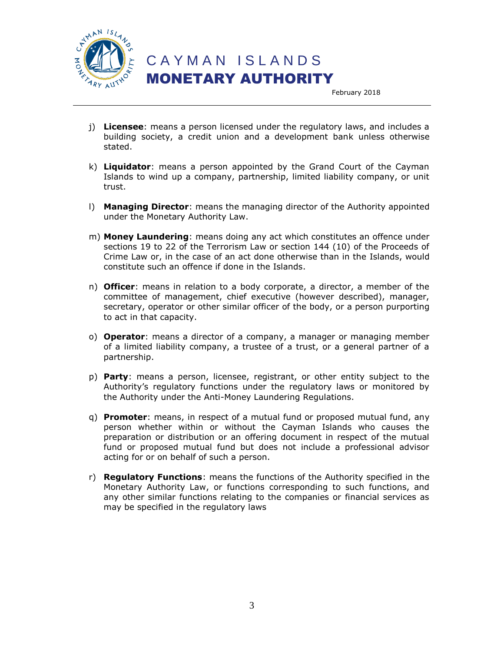

 C A Y M A N I S L A N D S MONETARY AUTHORITY

February 2018

- j) **Licensee**: means a person licensed under the regulatory laws, and includes a building society, a credit union and a development bank unless otherwise stated.
- k) **Liquidator**: means a person appointed by the Grand Court of the Cayman Islands to wind up a company, partnership, limited liability company, or unit trust.
- l) **Managing Director**: means the managing director of the Authority appointed under the Monetary Authority Law.
- m) **Money Laundering**: means doing any act which constitutes an offence under sections 19 to 22 of the Terrorism Law or section 144 (10) of the Proceeds of Crime Law or, in the case of an act done otherwise than in the Islands, would constitute such an offence if done in the Islands.
- n) **Officer**: means in relation to a body corporate, a director, a member of the committee of management, chief executive (however described), manager, secretary, operator or other similar officer of the body, or a person purporting to act in that capacity.
- o) **Operator**: means a director of a company, a manager or managing member of a limited liability company, a trustee of a trust, or a general partner of a partnership.
- p) **Party**: means a person, licensee, registrant, or other entity subject to the Authority's regulatory functions under the regulatory laws or monitored by the Authority under the Anti-Money Laundering Regulations.
- q) **Promoter**: means, in respect of a mutual fund or proposed mutual fund, any person whether within or without the Cayman Islands who causes the preparation or distribution or an offering document in respect of the mutual fund or proposed mutual fund but does not include a professional advisor acting for or on behalf of such a person.
- r) **Regulatory Functions**: means the functions of the Authority specified in the Monetary Authority Law, or functions corresponding to such functions, and any other similar functions relating to the companies or financial services as may be specified in the regulatory laws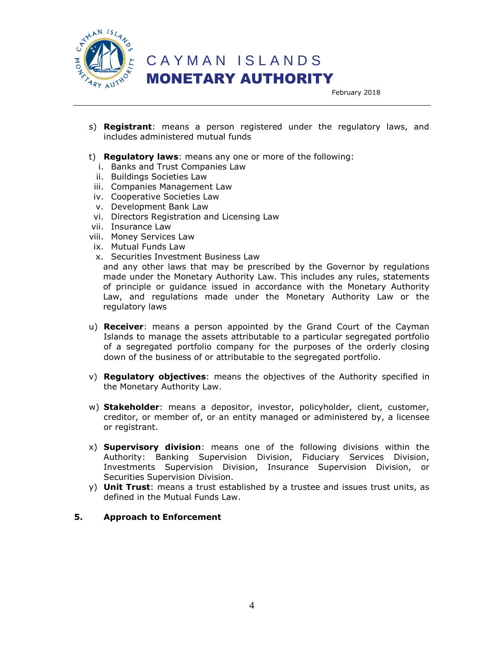

## C A Y M A N I S L A N D S MONETARY AUTHORITY

February 2018

- s) **Registrant**: means a person registered under the regulatory laws, and includes administered mutual funds
- t) **Regulatory laws**: means any one or more of the following:
	- i. Banks and Trust Companies Law
	- ii. Buildings Societies Law
	- iii. Companies Management Law
- iv. Cooperative Societies Law
- v. Development Bank Law
- vi. Directors Registration and Licensing Law
- vii. Insurance Law
- viii. Money Services Law
- ix. Mutual Funds Law
- x. Securities Investment Business Law

and any other laws that may be prescribed by the Governor by regulations made under the Monetary Authority Law. This includes any rules, statements of principle or guidance issued in accordance with the Monetary Authority Law, and regulations made under the Monetary Authority Law or the regulatory laws

- u) **Receiver**: means a person appointed by the Grand Court of the Cayman Islands to manage the assets attributable to a particular segregated portfolio of a segregated portfolio company for the purposes of the orderly closing down of the business of or attributable to the segregated portfolio.
- v) **Regulatory objectives**: means the objectives of the Authority specified in the Monetary Authority Law.
- w) **Stakeholder**: means a depositor, investor, policyholder, client, customer, creditor, or member of, or an entity managed or administered by, a licensee or registrant.
- x) **Supervisory division**: means one of the following divisions within the Authority: Banking Supervision Division, Fiduciary Services Division, Investments Supervision Division, Insurance Supervision Division, or Securities Supervision Division.
- y) **Unit Trust**: means a trust established by a trustee and issues trust units, as defined in the Mutual Funds Law.

#### **5. Approach to Enforcement**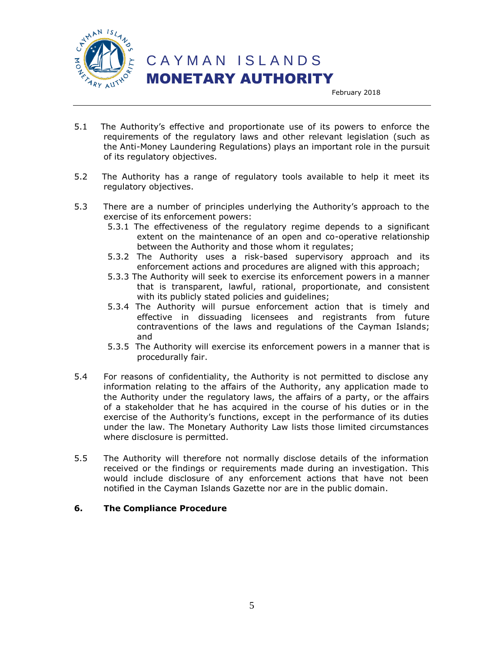

February 2018

- 5.1 The Authority's effective and proportionate use of its powers to enforce the requirements of the regulatory laws and other relevant legislation (such as the Anti-Money Laundering Regulations) plays an important role in the pursuit of its regulatory objectives.
- 5.2 The Authority has a range of regulatory tools available to help it meet its regulatory objectives.
- 5.3 There are a number of principles underlying the Authority's approach to the exercise of its enforcement powers:
	- 5.3.1 The effectiveness of the regulatory regime depends to a significant extent on the maintenance of an open and co-operative relationship between the Authority and those whom it regulates;
	- 5.3.2 The Authority uses a risk-based supervisory approach and its enforcement actions and procedures are aligned with this approach;
	- 5.3.3 The Authority will seek to exercise its enforcement powers in a manner that is transparent, lawful, rational, proportionate, and consistent with its publicly stated policies and guidelines;
	- 5.3.4 The Authority will pursue enforcement action that is timely and effective in dissuading licensees and registrants from future contraventions of the laws and regulations of the Cayman Islands; and
	- 5.3.5 The Authority will exercise its enforcement powers in a manner that is procedurally fair.
- 5.4 For reasons of confidentiality, the Authority is not permitted to disclose any information relating to the affairs of the Authority, any application made to the Authority under the regulatory laws, the affairs of a party, or the affairs of a stakeholder that he has acquired in the course of his duties or in the exercise of the Authority's functions, except in the performance of its duties under the law. The Monetary Authority Law lists those limited circumstances where disclosure is permitted.
- 5.5 The Authority will therefore not normally disclose details of the information received or the findings or requirements made during an investigation. This would include disclosure of any enforcement actions that have not been notified in the Cayman Islands Gazette nor are in the public domain.

#### **6. The Compliance Procedure**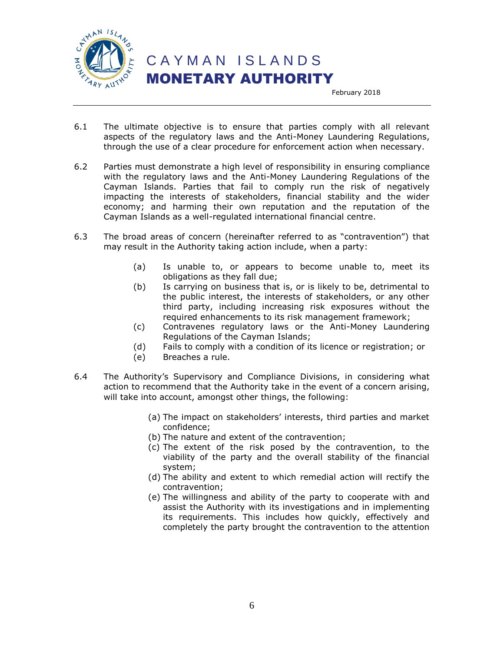

February 2018

- 6.1 The ultimate objective is to ensure that parties comply with all relevant aspects of the regulatory laws and the Anti-Money Laundering Regulations, through the use of a clear procedure for enforcement action when necessary.
- 6.2 Parties must demonstrate a high level of responsibility in ensuring compliance with the regulatory laws and the Anti-Money Laundering Regulations of the Cayman Islands. Parties that fail to comply run the risk of negatively impacting the interests of stakeholders, financial stability and the wider economy; and harming their own reputation and the reputation of the Cayman Islands as a well-regulated international financial centre.
- 6.3 The broad areas of concern (hereinafter referred to as "contravention") that may result in the Authority taking action include, when a party:
	- (a) Is unable to, or appears to become unable to, meet its obligations as they fall due;
	- (b) Is carrying on business that is, or is likely to be, detrimental to the public interest, the interests of stakeholders, or any other third party, including increasing risk exposures without the required enhancements to its risk management framework;
	- (c) Contravenes regulatory laws or the Anti-Money Laundering Regulations of the Cayman Islands;
	- (d) Fails to comply with a condition of its licence or registration; or
	- (e) Breaches a rule.
- 6.4 The Authority's Supervisory and Compliance Divisions, in considering what action to recommend that the Authority take in the event of a concern arising, will take into account, amongst other things, the following:
	- (a) The impact on stakeholders' interests, third parties and market confidence;
	- (b) The nature and extent of the contravention;
	- (c) The extent of the risk posed by the contravention, to the viability of the party and the overall stability of the financial system;
	- (d) The ability and extent to which remedial action will rectify the contravention;
	- (e) The willingness and ability of the party to cooperate with and assist the Authority with its investigations and in implementing its requirements. This includes how quickly, effectively and completely the party brought the contravention to the attention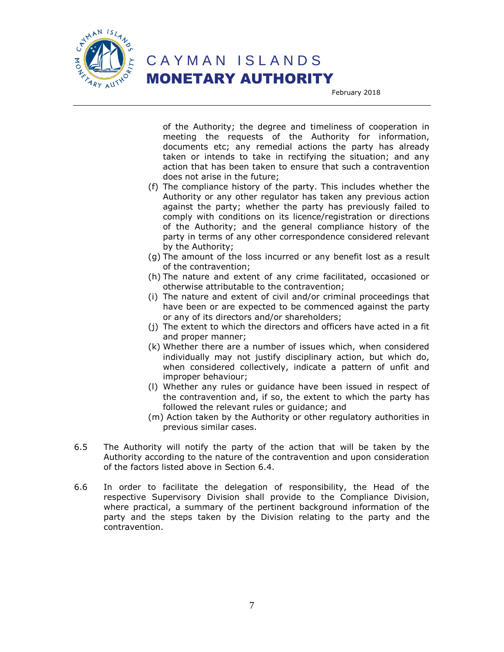

February 2018

of the Authority; the degree and timeliness of cooperation in meeting the requests of the Authority for information, documents etc; any remedial actions the party has already taken or intends to take in rectifying the situation; and any action that has been taken to ensure that such a contravention does not arise in the future;

- (f) The compliance history of the party. This includes whether the Authority or any other regulator has taken any previous action against the party; whether the party has previously failed to comply with conditions on its licence/registration or directions of the Authority; and the general compliance history of the party in terms of any other correspondence considered relevant by the Authority;
- (g) The amount of the loss incurred or any benefit lost as a result of the contravention;
- (h) The nature and extent of any crime facilitated, occasioned or otherwise attributable to the contravention;
- (i) The nature and extent of civil and/or criminal proceedings that have been or are expected to be commenced against the party or any of its directors and/or shareholders;
- (j) The extent to which the directors and officers have acted in a fit and proper manner;
- (k) Whether there are a number of issues which, when considered individually may not justify disciplinary action, but which do, when considered collectively, indicate a pattern of unfit and improper behaviour;
- (l) Whether any rules or guidance have been issued in respect of the contravention and, if so, the extent to which the party has followed the relevant rules or guidance; and
- (m) Action taken by the Authority or other regulatory authorities in previous similar cases.
- 6.5 The Authority will notify the party of the action that will be taken by the Authority according to the nature of the contravention and upon consideration of the factors listed above in Section 6.4.
- 6.6 In order to facilitate the delegation of responsibility, the Head of the respective Supervisory Division shall provide to the Compliance Division, where practical, a summary of the pertinent background information of the party and the steps taken by the Division relating to the party and the contravention.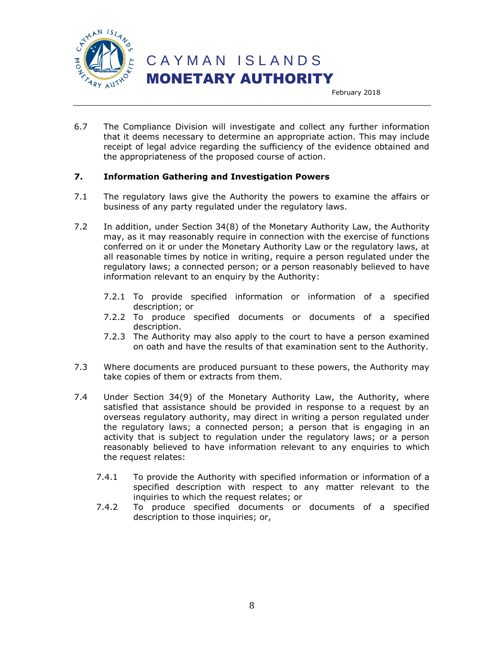

February 2018

6.7 The Compliance Division will investigate and collect any further information that it deems necessary to determine an appropriate action. This may include receipt of legal advice regarding the sufficiency of the evidence obtained and the appropriateness of the proposed course of action.

#### **7. Information Gathering and Investigation Powers**

- 7.1 The regulatory laws give the Authority the powers to examine the affairs or business of any party regulated under the regulatory laws.
- 7.2 In addition, under Section 34(8) of the Monetary Authority Law, the Authority may, as it may reasonably require in connection with the exercise of functions conferred on it or under the Monetary Authority Law or the regulatory laws, at all reasonable times by notice in writing, require a person regulated under the regulatory laws; a connected person; or a person reasonably believed to have information relevant to an enquiry by the Authority:
	- 7.2.1 To provide specified information or information of a specified description; or
	- 7.2.2 To produce specified documents or documents of a specified description.
	- 7.2.3 The Authority may also apply to the court to have a person examined on oath and have the results of that examination sent to the Authority.
- 7.3 Where documents are produced pursuant to these powers, the Authority may take copies of them or extracts from them.
- 7.4 Under Section 34(9) of the Monetary Authority Law, the Authority, where satisfied that assistance should be provided in response to a request by an overseas regulatory authority, may direct in writing a person regulated under the regulatory laws; a connected person; a person that is engaging in an activity that is subject to regulation under the regulatory laws; or a person reasonably believed to have information relevant to any enquiries to which the request relates:
	- 7.4.1 To provide the Authority with specified information or information of a specified description with respect to any matter relevant to the inquiries to which the request relates; or
	- 7.4.2 To produce specified documents or documents of a specified description to those inquiries; or,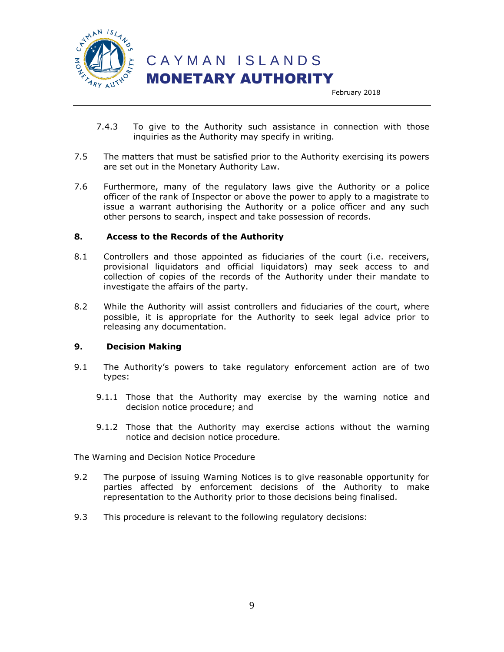

February 2018

- 7.4.3 To give to the Authority such assistance in connection with those inquiries as the Authority may specify in writing.
- 7.5 The matters that must be satisfied prior to the Authority exercising its powers are set out in the Monetary Authority Law.
- 7.6 Furthermore, many of the regulatory laws give the Authority or a police officer of the rank of Inspector or above the power to apply to a magistrate to issue a warrant authorising the Authority or a police officer and any such other persons to search, inspect and take possession of records.

#### **8. Access to the Records of the Authority**

- 8.1 Controllers and those appointed as fiduciaries of the court (i.e. receivers, provisional liquidators and official liquidators) may seek access to and collection of copies of the records of the Authority under their mandate to investigate the affairs of the party.
- 8.2 While the Authority will assist controllers and fiduciaries of the court, where possible, it is appropriate for the Authority to seek legal advice prior to releasing any documentation.

#### **9. Decision Making**

- 9.1 The Authority's powers to take regulatory enforcement action are of two types:
	- 9.1.1 Those that the Authority may exercise by the warning notice and decision notice procedure; and
	- 9.1.2 Those that the Authority may exercise actions without the warning notice and decision notice procedure.

#### The Warning and Decision Notice Procedure

- 9.2 The purpose of issuing Warning Notices is to give reasonable opportunity for parties affected by enforcement decisions of the Authority to make representation to the Authority prior to those decisions being finalised.
- 9.3 This procedure is relevant to the following regulatory decisions: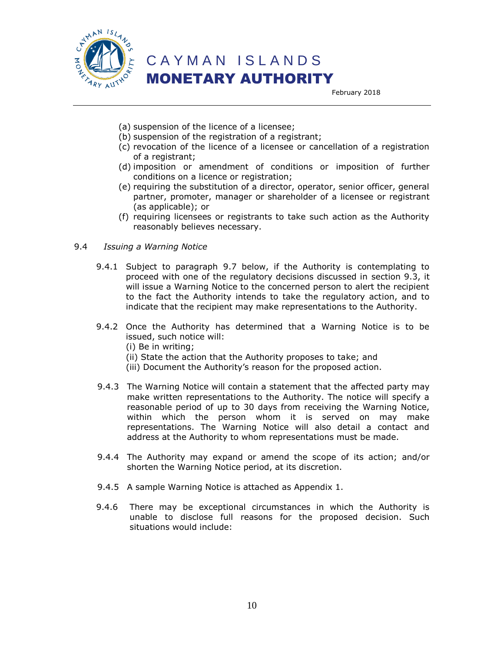

February 2018

- (a) suspension of the licence of a licensee;
- (b) suspension of the registration of a registrant;
- (c) revocation of the licence of a licensee or cancellation of a registration of a registrant;
- (d) imposition or amendment of conditions or imposition of further conditions on a licence or registration;
- (e) requiring the substitution of a director, operator, senior officer, general partner, promoter, manager or shareholder of a licensee or registrant (as applicable); or
- (f) requiring licensees or registrants to take such action as the Authority reasonably believes necessary.

#### 9.4 *Issuing a Warning Notice*

- 9.4.1 Subject to paragraph 9.7 below, if the Authority is contemplating to proceed with one of the regulatory decisions discussed in section 9.3, it will issue a Warning Notice to the concerned person to alert the recipient to the fact the Authority intends to take the regulatory action, and to indicate that the recipient may make representations to the Authority.
- 9.4.2 Once the Authority has determined that a Warning Notice is to be issued, such notice will:
	- (i) Be in writing;
	- (ii) State the action that the Authority proposes to take; and
	- (iii) Document the Authority's reason for the proposed action.
- 9.4.3 The Warning Notice will contain a statement that the affected party may make written representations to the Authority. The notice will specify a reasonable period of up to 30 days from receiving the Warning Notice, within which the person whom it is served on may make representations. The Warning Notice will also detail a contact and address at the Authority to whom representations must be made.
- 9.4.4 The Authority may expand or amend the scope of its action; and/or shorten the Warning Notice period, at its discretion.
- 9.4.5 A sample Warning Notice is attached as Appendix 1.
- 9.4.6 There may be exceptional circumstances in which the Authority is unable to disclose full reasons for the proposed decision. Such situations would include: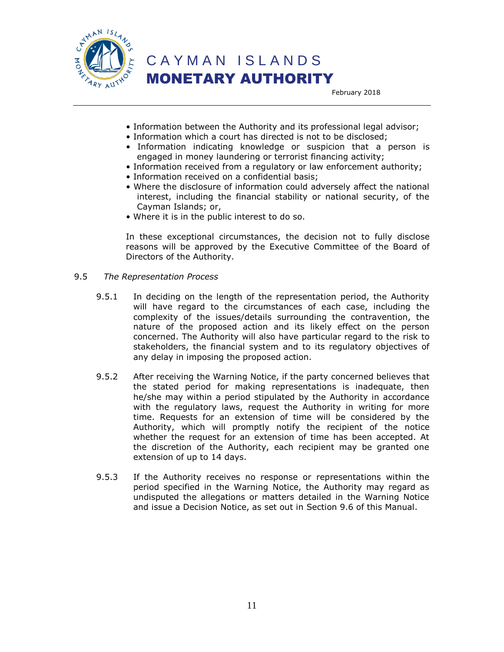

February 2018

- Information between the Authority and its professional legal advisor;
- Information which a court has directed is not to be disclosed;
- Information indicating knowledge or suspicion that a person is engaged in money laundering or terrorist financing activity;
- Information received from a regulatory or law enforcement authority;
- Information received on a confidential basis;
- Where the disclosure of information could adversely affect the national interest, including the financial stability or national security, of the Cayman Islands; or,
- Where it is in the public interest to do so.

In these exceptional circumstances, the decision not to fully disclose reasons will be approved by the Executive Committee of the Board of Directors of the Authority.

- 9.5 *The Representation Process*
	- 9.5.1 In deciding on the length of the representation period, the Authority will have regard to the circumstances of each case, including the complexity of the issues/details surrounding the contravention, the nature of the proposed action and its likely effect on the person concerned. The Authority will also have particular regard to the risk to stakeholders, the financial system and to its regulatory objectives of any delay in imposing the proposed action.
	- 9.5.2 After receiving the Warning Notice, if the party concerned believes that the stated period for making representations is inadequate, then he/she may within a period stipulated by the Authority in accordance with the regulatory laws, request the Authority in writing for more time. Requests for an extension of time will be considered by the Authority, which will promptly notify the recipient of the notice whether the request for an extension of time has been accepted. At the discretion of the Authority, each recipient may be granted one extension of up to 14 days.
	- 9.5.3 If the Authority receives no response or representations within the period specified in the Warning Notice, the Authority may regard as undisputed the allegations or matters detailed in the Warning Notice and issue a Decision Notice, as set out in Section 9.6 of this Manual.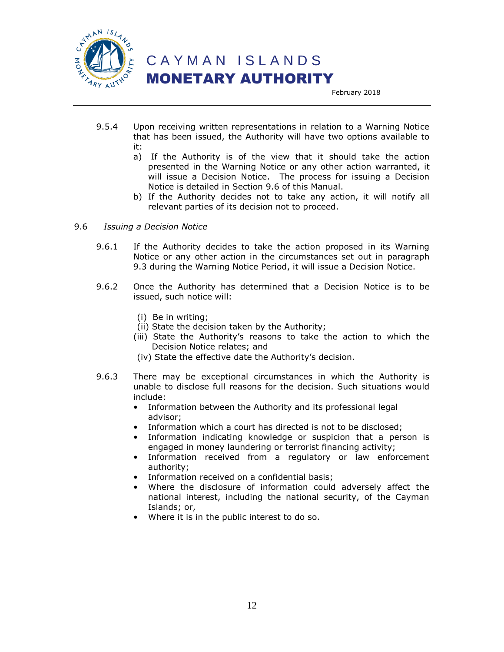

 C A Y M A N I S L A N D S MONETARY AUTHORITY

February 2018

- 9.5.4 Upon receiving written representations in relation to a Warning Notice that has been issued, the Authority will have two options available to it:
	- a) If the Authority is of the view that it should take the action presented in the Warning Notice or any other action warranted, it will issue a Decision Notice. The process for issuing a Decision Notice is detailed in Section 9.6 of this Manual.
	- b) If the Authority decides not to take any action, it will notify all relevant parties of its decision not to proceed.
- 9.6 *Issuing a Decision Notice*
	- 9.6.1 If the Authority decides to take the action proposed in its Warning Notice or any other action in the circumstances set out in paragraph 9.3 during the Warning Notice Period, it will issue a Decision Notice.
	- 9.6.2 Once the Authority has determined that a Decision Notice is to be issued, such notice will:
		- (i) Be in writing;
		- (ii) State the decision taken by the Authority;
		- (iii) State the Authority's reasons to take the action to which the Decision Notice relates; and
		- (iv) State the effective date the Authority's decision.
	- 9.6.3 There may be exceptional circumstances in which the Authority is unable to disclose full reasons for the decision. Such situations would include:
		- Information between the Authority and its professional legal advisor;
		- Information which a court has directed is not to be disclosed;
		- Information indicating knowledge or suspicion that a person is engaged in money laundering or terrorist financing activity;
		- Information received from a regulatory or law enforcement authority;
		- Information received on a confidential basis;
		- Where the disclosure of information could adversely affect the national interest, including the national security, of the Cayman Islands; or,
		- Where it is in the public interest to do so.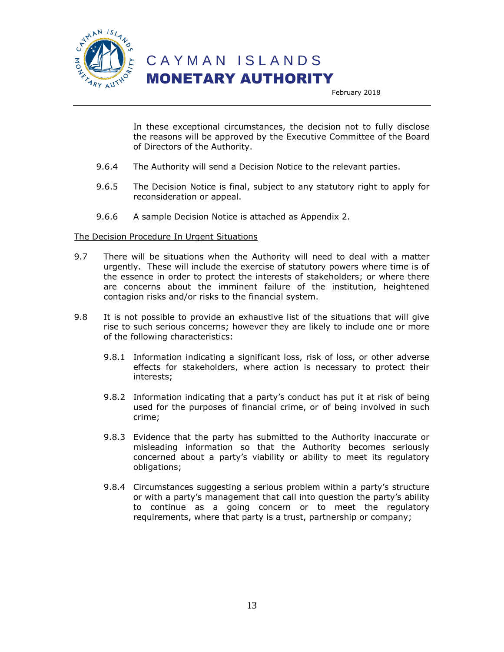

C A Y M A N I S L A N D S

### MONETARY AUTHORITY

February 2018

In these exceptional circumstances, the decision not to fully disclose the reasons will be approved by the Executive Committee of the Board of Directors of the Authority.

- 9.6.4 The Authority will send a Decision Notice to the relevant parties.
- 9.6.5 The Decision Notice is final, subject to any statutory right to apply for reconsideration or appeal.
- 9.6.6 A sample Decision Notice is attached as Appendix 2.

#### The Decision Procedure In Urgent Situations

- 9.7 There will be situations when the Authority will need to deal with a matter urgently. These will include the exercise of statutory powers where time is of the essence in order to protect the interests of stakeholders; or where there are concerns about the imminent failure of the institution, heightened contagion risks and/or risks to the financial system.
- 9.8 It is not possible to provide an exhaustive list of the situations that will give rise to such serious concerns; however they are likely to include one or more of the following characteristics:
	- 9.8.1 Information indicating a significant loss, risk of loss, or other adverse effects for stakeholders, where action is necessary to protect their interests;
	- 9.8.2 Information indicating that a party's conduct has put it at risk of being used for the purposes of financial crime, or of being involved in such crime;
	- 9.8.3 Evidence that the party has submitted to the Authority inaccurate or misleading information so that the Authority becomes seriously concerned about a party's viability or ability to meet its regulatory obligations;
	- 9.8.4 Circumstances suggesting a serious problem within a party's structure or with a party's management that call into question the party's ability to continue as a going concern or to meet the regulatory requirements, where that party is a trust, partnership or company;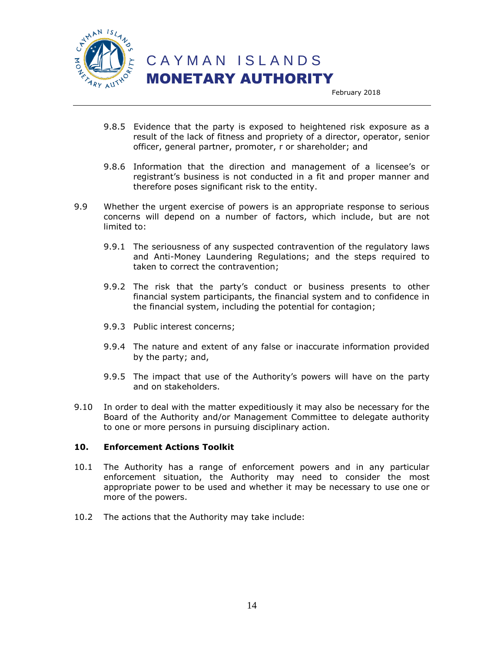

 C A Y M A N I S L A N D S MONETARY AUTHORITY

February 2018

- 9.8.5 Evidence that the party is exposed to heightened risk exposure as a result of the lack of fitness and propriety of a director, operator, senior officer, general partner, promoter, r or shareholder; and
- 9.8.6 Information that the direction and management of a licensee's or registrant's business is not conducted in a fit and proper manner and therefore poses significant risk to the entity.
- 9.9 Whether the urgent exercise of powers is an appropriate response to serious concerns will depend on a number of factors, which include, but are not limited to:
	- 9.9.1 The seriousness of any suspected contravention of the regulatory laws and Anti-Money Laundering Regulations; and the steps required to taken to correct the contravention;
	- 9.9.2 The risk that the party's conduct or business presents to other financial system participants, the financial system and to confidence in the financial system, including the potential for contagion;
	- 9.9.3 Public interest concerns;
	- 9.9.4 The nature and extent of any false or inaccurate information provided by the party; and,
	- 9.9.5 The impact that use of the Authority's powers will have on the party and on stakeholders.
- 9.10 In order to deal with the matter expeditiously it may also be necessary for the Board of the Authority and/or Management Committee to delegate authority to one or more persons in pursuing disciplinary action.

#### **10. Enforcement Actions Toolkit**

- 10.1 The Authority has a range of enforcement powers and in any particular enforcement situation, the Authority may need to consider the most appropriate power to be used and whether it may be necessary to use one or more of the powers.
- 10.2 The actions that the Authority may take include: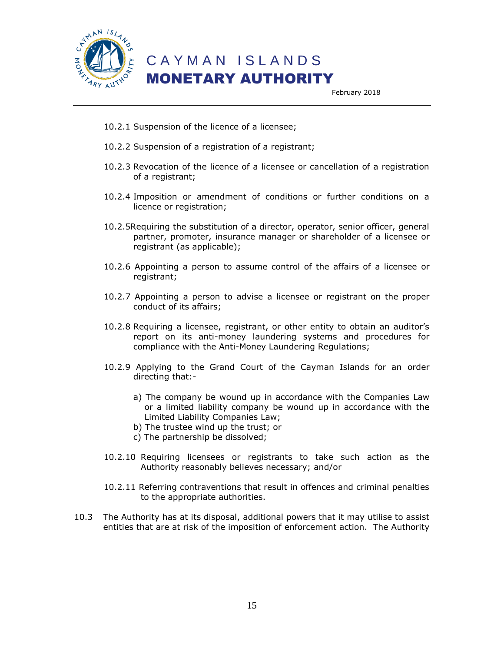

February 2018

- 10.2.1 Suspension of the licence of a licensee;
- 10.2.2 Suspension of a registration of a registrant;
- 10.2.3 Revocation of the licence of a licensee or cancellation of a registration of a registrant;
- 10.2.4 Imposition or amendment of conditions or further conditions on a licence or registration;
- 10.2.5Requiring the substitution of a director, operator, senior officer, general partner, promoter, insurance manager or shareholder of a licensee or registrant (as applicable);
- 10.2.6 Appointing a person to assume control of the affairs of a licensee or registrant;
- 10.2.7 Appointing a person to advise a licensee or registrant on the proper conduct of its affairs;
- 10.2.8 Requiring a licensee, registrant, or other entity to obtain an auditor's report on its anti-money laundering systems and procedures for compliance with the Anti-Money Laundering Regulations;
- 10.2.9 Applying to the Grand Court of the Cayman Islands for an order directing that:
	- a) The company be wound up in accordance with the Companies Law or a limited liability company be wound up in accordance with the Limited Liability Companies Law;
	- b) The trustee wind up the trust; or
	- c) The partnership be dissolved;
- 10.2.10 Requiring licensees or registrants to take such action as the Authority reasonably believes necessary; and/or
- 10.2.11 Referring contraventions that result in offences and criminal penalties to the appropriate authorities.
- 10.3 The Authority has at its disposal, additional powers that it may utilise to assist entities that are at risk of the imposition of enforcement action. The Authority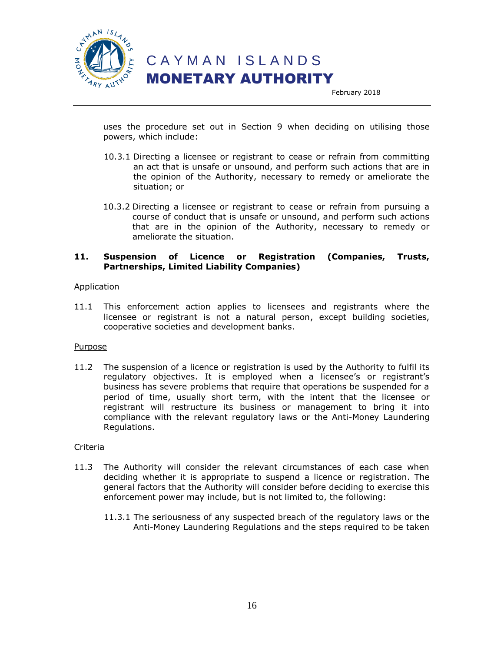

uses the procedure set out in Section 9 when deciding on utilising those powers, which include:

- 10.3.1 Directing a licensee or registrant to cease or refrain from committing an act that is unsafe or unsound, and perform such actions that are in the opinion of the Authority, necessary to remedy or ameliorate the situation; or
- 10.3.2 Directing a licensee or registrant to cease or refrain from pursuing a course of conduct that is unsafe or unsound, and perform such actions that are in the opinion of the Authority, necessary to remedy or ameliorate the situation.

#### **11. Suspension of Licence or Registration (Companies, Trusts, Partnerships, Limited Liability Companies)**

#### Application

11.1 This enforcement action applies to licensees and registrants where the licensee or registrant is not a natural person, except building societies, cooperative societies and development banks.

#### Purpose

11.2 The suspension of a licence or registration is used by the Authority to fulfil its regulatory objectives. It is employed when a licensee's or registrant's business has severe problems that require that operations be suspended for a period of time, usually short term, with the intent that the licensee or registrant will restructure its business or management to bring it into compliance with the relevant regulatory laws or the Anti-Money Laundering Regulations.

- 11.3 The Authority will consider the relevant circumstances of each case when deciding whether it is appropriate to suspend a licence or registration. The general factors that the Authority will consider before deciding to exercise this enforcement power may include, but is not limited to, the following:
	- 11.3.1 The seriousness of any suspected breach of the regulatory laws or the Anti-Money Laundering Regulations and the steps required to be taken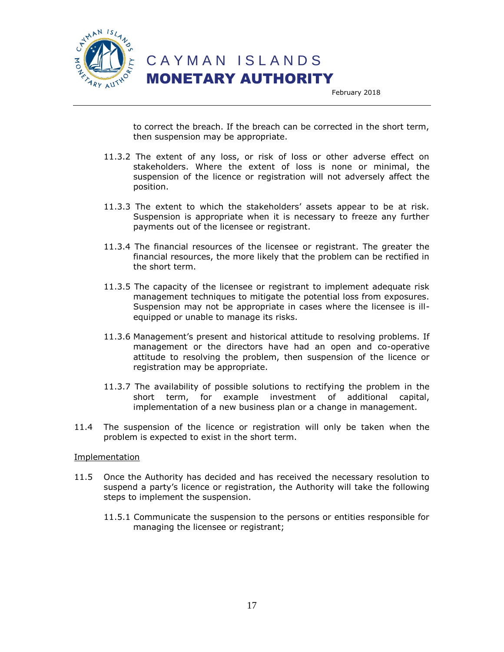

to correct the breach. If the breach can be corrected in the short term, then suspension may be appropriate.

- 11.3.2 The extent of any loss, or risk of loss or other adverse effect on stakeholders. Where the extent of loss is none or minimal, the suspension of the licence or registration will not adversely affect the position.
- 11.3.3 The extent to which the stakeholders' assets appear to be at risk. Suspension is appropriate when it is necessary to freeze any further payments out of the licensee or registrant.
- 11.3.4 The financial resources of the licensee or registrant. The greater the financial resources, the more likely that the problem can be rectified in the short term.
- 11.3.5 The capacity of the licensee or registrant to implement adequate risk management techniques to mitigate the potential loss from exposures. Suspension may not be appropriate in cases where the licensee is illequipped or unable to manage its risks.
- 11.3.6 Management's present and historical attitude to resolving problems. If management or the directors have had an open and co-operative attitude to resolving the problem, then suspension of the licence or registration may be appropriate.
- 11.3.7 The availability of possible solutions to rectifying the problem in the short term, for example investment of additional capital, implementation of a new business plan or a change in management.
- 11.4 The suspension of the licence or registration will only be taken when the problem is expected to exist in the short term.

#### Implementation

- 11.5 Once the Authority has decided and has received the necessary resolution to suspend a party's licence or registration, the Authority will take the following steps to implement the suspension.
	- 11.5.1 Communicate the suspension to the persons or entities responsible for managing the licensee or registrant;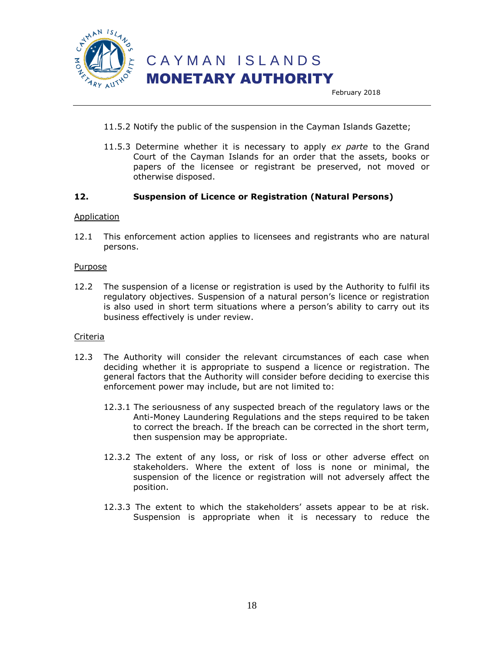

- 11.5.2 Notify the public of the suspension in the Cayman Islands Gazette;
- 11.5.3 Determine whether it is necessary to apply *ex parte* to the Grand Court of the Cayman Islands for an order that the assets, books or papers of the licensee or registrant be preserved, not moved or otherwise disposed.

#### **12. Suspension of Licence or Registration (Natural Persons)**

#### Application

12.1 This enforcement action applies to licensees and registrants who are natural persons.

#### Purpose

12.2 The suspension of a license or registration is used by the Authority to fulfil its regulatory objectives. Suspension of a natural person's licence or registration is also used in short term situations where a person's ability to carry out its business effectively is under review.

- 12.3 The Authority will consider the relevant circumstances of each case when deciding whether it is appropriate to suspend a licence or registration. The general factors that the Authority will consider before deciding to exercise this enforcement power may include, but are not limited to:
	- 12.3.1 The seriousness of any suspected breach of the regulatory laws or the Anti-Money Laundering Regulations and the steps required to be taken to correct the breach. If the breach can be corrected in the short term, then suspension may be appropriate.
	- 12.3.2 The extent of any loss, or risk of loss or other adverse effect on stakeholders. Where the extent of loss is none or minimal, the suspension of the licence or registration will not adversely affect the position.
	- 12.3.3 The extent to which the stakeholders' assets appear to be at risk. Suspension is appropriate when it is necessary to reduce the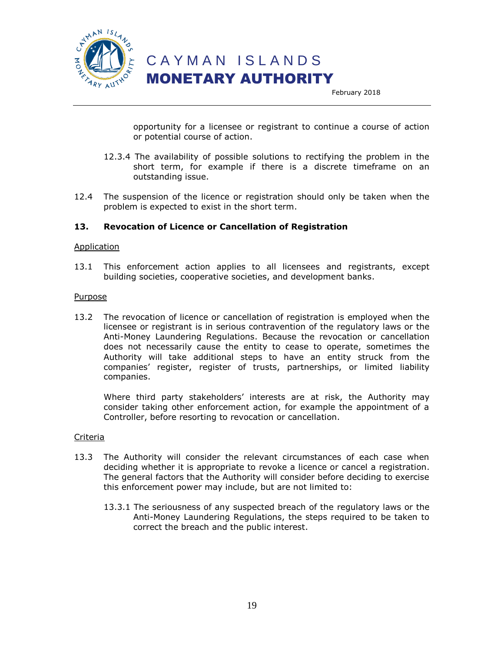

opportunity for a licensee or registrant to continue a course of action or potential course of action.

- 12.3.4 The availability of possible solutions to rectifying the problem in the short term, for example if there is a discrete timeframe on an outstanding issue.
- 12.4 The suspension of the licence or registration should only be taken when the problem is expected to exist in the short term.

#### **13. Revocation of Licence or Cancellation of Registration**

#### Application

13.1 This enforcement action applies to all licensees and registrants, except building societies, cooperative societies, and development banks.

#### Purpose

13.2 The revocation of licence or cancellation of registration is employed when the licensee or registrant is in serious contravention of the regulatory laws or the Anti-Money Laundering Regulations. Because the revocation or cancellation does not necessarily cause the entity to cease to operate, sometimes the Authority will take additional steps to have an entity struck from the companies' register, register of trusts, partnerships, or limited liability companies.

Where third party stakeholders' interests are at risk, the Authority may consider taking other enforcement action, for example the appointment of a Controller, before resorting to revocation or cancellation.

- 13.3 The Authority will consider the relevant circumstances of each case when deciding whether it is appropriate to revoke a licence or cancel a registration. The general factors that the Authority will consider before deciding to exercise this enforcement power may include, but are not limited to:
	- 13.3.1 The seriousness of any suspected breach of the regulatory laws or the Anti-Money Laundering Regulations, the steps required to be taken to correct the breach and the public interest.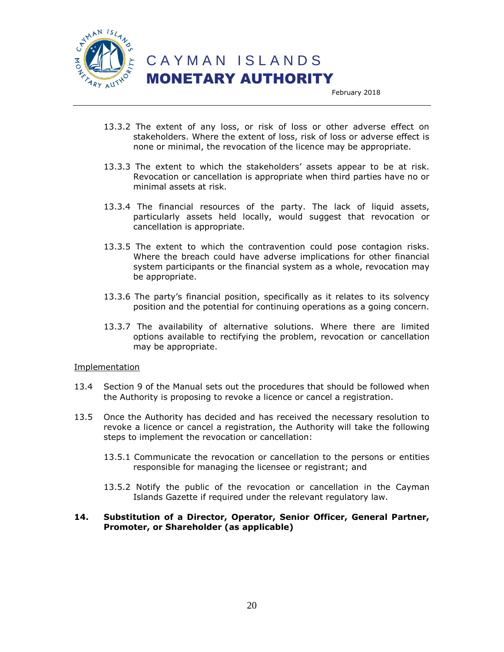

February 2018

- 13.3.2 The extent of any loss, or risk of loss or other adverse effect on stakeholders. Where the extent of loss, risk of loss or adverse effect is none or minimal, the revocation of the licence may be appropriate.
- 13.3.3 The extent to which the stakeholders' assets appear to be at risk. Revocation or cancellation is appropriate when third parties have no or minimal assets at risk.
- 13.3.4 The financial resources of the party. The lack of liquid assets, particularly assets held locally, would suggest that revocation or cancellation is appropriate.
- 13.3.5 The extent to which the contravention could pose contagion risks. Where the breach could have adverse implications for other financial system participants or the financial system as a whole, revocation may be appropriate.
- 13.3.6 The party's financial position, specifically as it relates to its solvency position and the potential for continuing operations as a going concern.
- 13.3.7 The availability of alternative solutions. Where there are limited options available to rectifying the problem, revocation or cancellation may be appropriate.

#### Implementation

- 13.4 Section 9 of the Manual sets out the procedures that should be followed when the Authority is proposing to revoke a licence or cancel a registration.
- 13.5 Once the Authority has decided and has received the necessary resolution to revoke a licence or cancel a registration, the Authority will take the following steps to implement the revocation or cancellation:
	- 13.5.1 Communicate the revocation or cancellation to the persons or entities responsible for managing the licensee or registrant; and
	- 13.5.2 Notify the public of the revocation or cancellation in the Cayman Islands Gazette if required under the relevant regulatory law.

#### **14. Substitution of a Director, Operator, Senior Officer, General Partner, Promoter, or Shareholder (as applicable)**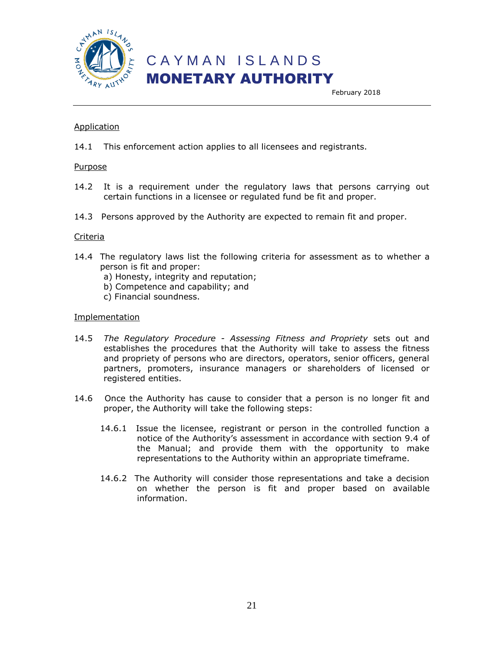

February 2018

#### **Application**

14.1 This enforcement action applies to all licensees and registrants.

#### Purpose

- 14.2 It is a requirement under the regulatory laws that persons carrying out certain functions in a licensee or regulated fund be fit and proper.
- 14.3 Persons approved by the Authority are expected to remain fit and proper.

#### Criteria

- 14.4 The regulatory laws list the following criteria for assessment as to whether a person is fit and proper:
	- a) Honesty, integrity and reputation;
	- b) Competence and capability; and
	- c) Financial soundness.

#### Implementation

- 14.5 *The Regulatory Procedure - Assessing Fitness and Propriety* sets out and establishes the procedures that the Authority will take to assess the fitness and propriety of persons who are directors, operators, senior officers, general partners, promoters, insurance managers or shareholders of licensed or registered entities.
- 14.6 Once the Authority has cause to consider that a person is no longer fit and proper, the Authority will take the following steps:
	- 14.6.1 Issue the licensee, registrant or person in the controlled function a notice of the Authority's assessment in accordance with section 9.4 of the Manual; and provide them with the opportunity to make representations to the Authority within an appropriate timeframe.
	- 14.6.2 The Authority will consider those representations and take a decision on whether the person is fit and proper based on available information.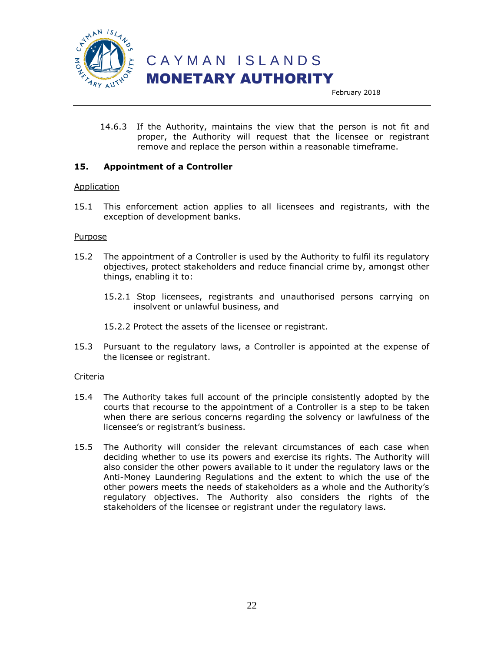

14.6.3 If the Authority, maintains the view that the person is not fit and proper, the Authority will request that the licensee or registrant remove and replace the person within a reasonable timeframe.

#### **15. Appointment of a Controller**

#### Application

15.1 This enforcement action applies to all licensees and registrants, with the exception of development banks.

#### Purpose

- 15.2 The appointment of a Controller is used by the Authority to fulfil its regulatory objectives, protect stakeholders and reduce financial crime by, amongst other things, enabling it to:
	- 15.2.1 Stop licensees, registrants and unauthorised persons carrying on insolvent or unlawful business, and

15.2.2 Protect the assets of the licensee or registrant.

15.3 Pursuant to the regulatory laws, a Controller is appointed at the expense of the licensee or registrant.

- 15.4 The Authority takes full account of the principle consistently adopted by the courts that recourse to the appointment of a Controller is a step to be taken when there are serious concerns regarding the solvency or lawfulness of the licensee's or registrant's business.
- 15.5 The Authority will consider the relevant circumstances of each case when deciding whether to use its powers and exercise its rights. The Authority will also consider the other powers available to it under the regulatory laws or the Anti-Money Laundering Regulations and the extent to which the use of the other powers meets the needs of stakeholders as a whole and the Authority's regulatory objectives. The Authority also considers the rights of the stakeholders of the licensee or registrant under the regulatory laws.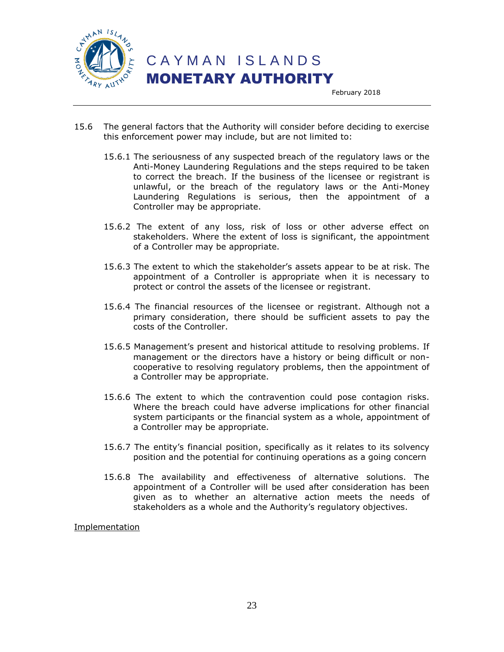

- 15.6 The general factors that the Authority will consider before deciding to exercise this enforcement power may include, but are not limited to:
	- 15.6.1 The seriousness of any suspected breach of the regulatory laws or the Anti-Money Laundering Regulations and the steps required to be taken to correct the breach. If the business of the licensee or registrant is unlawful, or the breach of the regulatory laws or the Anti-Money Laundering Regulations is serious, then the appointment of a Controller may be appropriate.
	- 15.6.2 The extent of any loss, risk of loss or other adverse effect on stakeholders. Where the extent of loss is significant, the appointment of a Controller may be appropriate.
	- 15.6.3 The extent to which the stakeholder's assets appear to be at risk. The appointment of a Controller is appropriate when it is necessary to protect or control the assets of the licensee or registrant.
	- 15.6.4 The financial resources of the licensee or registrant. Although not a primary consideration, there should be sufficient assets to pay the costs of the Controller.
	- 15.6.5 Management's present and historical attitude to resolving problems. If management or the directors have a history or being difficult or noncooperative to resolving regulatory problems, then the appointment of a Controller may be appropriate.
	- 15.6.6 The extent to which the contravention could pose contagion risks. Where the breach could have adverse implications for other financial system participants or the financial system as a whole, appointment of a Controller may be appropriate.
	- 15.6.7 The entity's financial position, specifically as it relates to its solvency position and the potential for continuing operations as a going concern
	- 15.6.8 The availability and effectiveness of alternative solutions. The appointment of a Controller will be used after consideration has been given as to whether an alternative action meets the needs of stakeholders as a whole and the Authority's regulatory objectives.

Implementation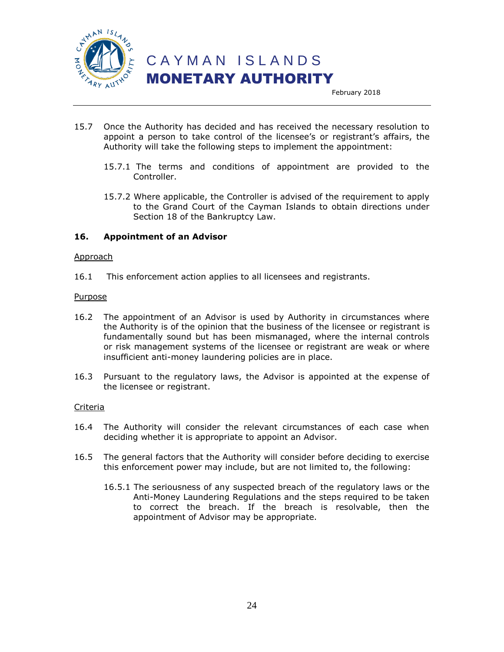

February 2018

- 15.7 Once the Authority has decided and has received the necessary resolution to appoint a person to take control of the licensee's or registrant's affairs, the Authority will take the following steps to implement the appointment:
	- 15.7.1 The terms and conditions of appointment are provided to the Controller.
	- 15.7.2 Where applicable, the Controller is advised of the requirement to apply to the Grand Court of the Cayman Islands to obtain directions under Section 18 of the Bankruptcy Law.

#### **16. Appointment of an Advisor**

#### Approach

16.1 This enforcement action applies to all licensees and registrants.

#### Purpose

- 16.2 The appointment of an Advisor is used by Authority in circumstances where the Authority is of the opinion that the business of the licensee or registrant is fundamentally sound but has been mismanaged, where the internal controls or risk management systems of the licensee or registrant are weak or where insufficient anti-money laundering policies are in place.
- 16.3 Pursuant to the regulatory laws, the Advisor is appointed at the expense of the licensee or registrant.

- 16.4 The Authority will consider the relevant circumstances of each case when deciding whether it is appropriate to appoint an Advisor.
- 16.5 The general factors that the Authority will consider before deciding to exercise this enforcement power may include, but are not limited to, the following:
	- 16.5.1 The seriousness of any suspected breach of the regulatory laws or the Anti-Money Laundering Regulations and the steps required to be taken to correct the breach. If the breach is resolvable, then the appointment of Advisor may be appropriate.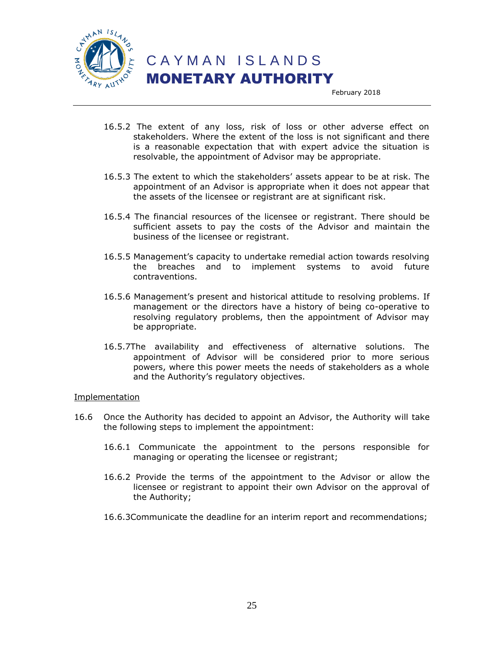

February 2018

- 16.5.2 The extent of any loss, risk of loss or other adverse effect on stakeholders. Where the extent of the loss is not significant and there is a reasonable expectation that with expert advice the situation is resolvable, the appointment of Advisor may be appropriate.
- 16.5.3 The extent to which the stakeholders' assets appear to be at risk. The appointment of an Advisor is appropriate when it does not appear that the assets of the licensee or registrant are at significant risk.
- 16.5.4 The financial resources of the licensee or registrant. There should be sufficient assets to pay the costs of the Advisor and maintain the business of the licensee or registrant.
- 16.5.5 Management's capacity to undertake remedial action towards resolving the breaches and to implement systems to avoid future contraventions.
- 16.5.6 Management's present and historical attitude to resolving problems. If management or the directors have a history of being co-operative to resolving regulatory problems, then the appointment of Advisor may be appropriate.
- 16.5.7The availability and effectiveness of alternative solutions. The appointment of Advisor will be considered prior to more serious powers, where this power meets the needs of stakeholders as a whole and the Authority's regulatory objectives.

#### Implementation

- 16.6 Once the Authority has decided to appoint an Advisor, the Authority will take the following steps to implement the appointment:
	- 16.6.1 Communicate the appointment to the persons responsible for managing or operating the licensee or registrant;
	- 16.6.2 Provide the terms of the appointment to the Advisor or allow the licensee or registrant to appoint their own Advisor on the approval of the Authority;
	- 16.6.3Communicate the deadline for an interim report and recommendations;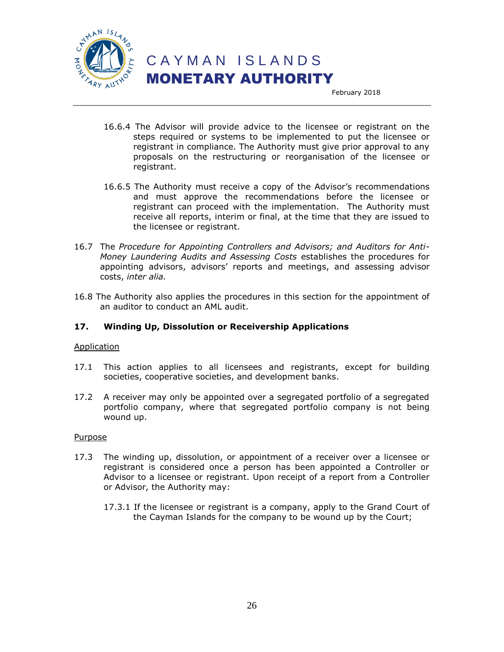

February 2018

- 16.6.4 The Advisor will provide advice to the licensee or registrant on the steps required or systems to be implemented to put the licensee or registrant in compliance. The Authority must give prior approval to any proposals on the restructuring or reorganisation of the licensee or registrant.
- 16.6.5 The Authority must receive a copy of the Advisor's recommendations and must approve the recommendations before the licensee or registrant can proceed with the implementation. The Authority must receive all reports, interim or final, at the time that they are issued to the licensee or registrant.
- 16.7 The *Procedure for Appointing Controllers and Advisors; and Auditors for Anti-Money Laundering Audits and Assessing Costs* establishes the procedures for appointing advisors, advisors' reports and meetings, and assessing advisor costs, *inter alia.*
- 16.8 The Authority also applies the procedures in this section for the appointment of an auditor to conduct an AML audit.

#### **17. Winding Up, Dissolution or Receivership Applications**

#### Application

- 17.1 This action applies to all licensees and registrants, except for building societies, cooperative societies, and development banks.
- 17.2 A receiver may only be appointed over a segregated portfolio of a segregated portfolio company, where that segregated portfolio company is not being wound up.

#### Purpose

- 17.3 The winding up, dissolution, or appointment of a receiver over a licensee or registrant is considered once a person has been appointed a Controller or Advisor to a licensee or registrant. Upon receipt of a report from a Controller or Advisor, the Authority may:
	- 17.3.1 If the licensee or registrant is a company, apply to the Grand Court of the Cayman Islands for the company to be wound up by the Court;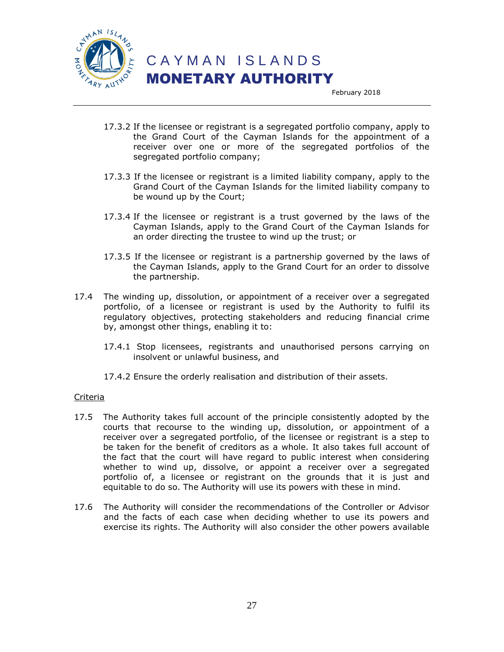

February 2018

- 17.3.2 If the licensee or registrant is a segregated portfolio company, apply to the Grand Court of the Cayman Islands for the appointment of a receiver over one or more of the segregated portfolios of the segregated portfolio company;
- 17.3.3 If the licensee or registrant is a limited liability company, apply to the Grand Court of the Cayman Islands for the limited liability company to be wound up by the Court;
- 17.3.4 If the licensee or registrant is a trust governed by the laws of the Cayman Islands, apply to the Grand Court of the Cayman Islands for an order directing the trustee to wind up the trust; or
- 17.3.5 If the licensee or registrant is a partnership governed by the laws of the Cayman Islands, apply to the Grand Court for an order to dissolve the partnership.
- 17.4 The winding up, dissolution, or appointment of a receiver over a segregated portfolio, of a licensee or registrant is used by the Authority to fulfil its regulatory objectives, protecting stakeholders and reducing financial crime by, amongst other things, enabling it to:
	- 17.4.1 Stop licensees, registrants and unauthorised persons carrying on insolvent or unlawful business, and
	- 17.4.2 Ensure the orderly realisation and distribution of their assets.

- 17.5 The Authority takes full account of the principle consistently adopted by the courts that recourse to the winding up, dissolution, or appointment of a receiver over a segregated portfolio, of the licensee or registrant is a step to be taken for the benefit of creditors as a whole. It also takes full account of the fact that the court will have regard to public interest when considering whether to wind up, dissolve, or appoint a receiver over a segregated portfolio of, a licensee or registrant on the grounds that it is just and equitable to do so. The Authority will use its powers with these in mind.
- 17.6 The Authority will consider the recommendations of the Controller or Advisor and the facts of each case when deciding whether to use its powers and exercise its rights. The Authority will also consider the other powers available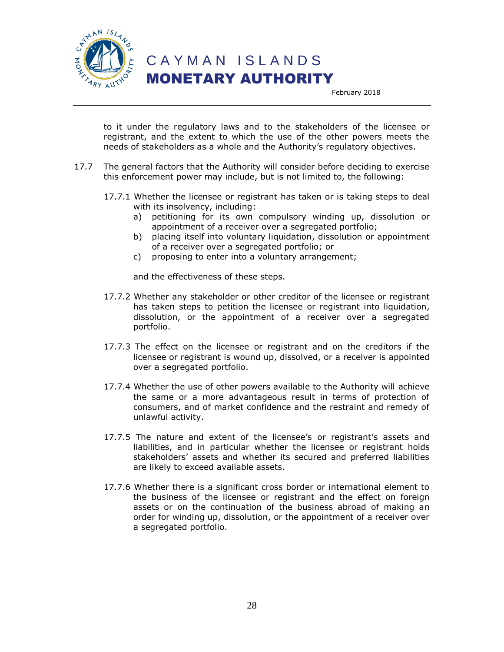

CAYMAN ISLANDS

MONETARY AUTHORITY

February 2018

to it under the regulatory laws and to the stakeholders of the licensee or registrant, and the extent to which the use of the other powers meets the needs of stakeholders as a whole and the Authority's regulatory objectives.

- 17.7 The general factors that the Authority will consider before deciding to exercise this enforcement power may include, but is not limited to, the following:
	- 17.7.1 Whether the licensee or registrant has taken or is taking steps to deal with its insolvency, including:
		- a) petitioning for its own compulsory winding up, dissolution or appointment of a receiver over a segregated portfolio;
		- b) placing itself into voluntary liquidation, dissolution or appointment of a receiver over a segregated portfolio; or
		- c) proposing to enter into a voluntary arrangement;

and the effectiveness of these steps.

- 17.7.2 Whether any stakeholder or other creditor of the licensee or registrant has taken steps to petition the licensee or registrant into liquidation, dissolution, or the appointment of a receiver over a segregated portfolio.
- 17.7.3 The effect on the licensee or registrant and on the creditors if the licensee or registrant is wound up, dissolved, or a receiver is appointed over a segregated portfolio.
- 17.7.4 Whether the use of other powers available to the Authority will achieve the same or a more advantageous result in terms of protection of consumers, and of market confidence and the restraint and remedy of unlawful activity.
- 17.7.5 The nature and extent of the licensee's or registrant's assets and liabilities, and in particular whether the licensee or registrant holds stakeholders' assets and whether its secured and preferred liabilities are likely to exceed available assets.
- 17.7.6 Whether there is a significant cross border or international element to the business of the licensee or registrant and the effect on foreign assets or on the continuation of the business abroad of making an order for winding up, dissolution, or the appointment of a receiver over a segregated portfolio.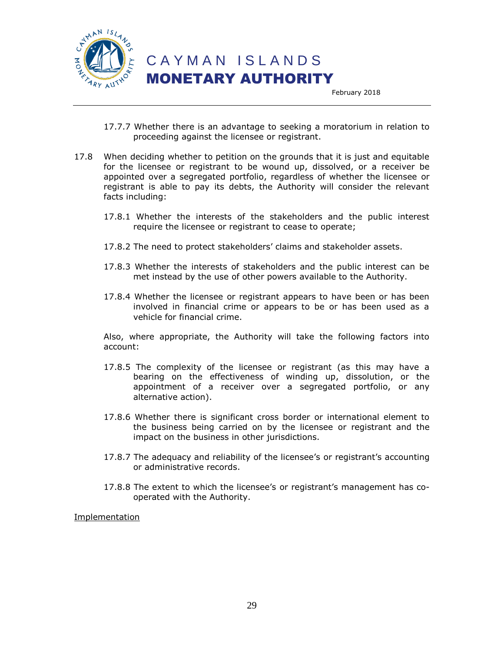

 C A Y M A N I S L A N D S MONETARY AUTHORITY

February 2018

- 17.7.7 Whether there is an advantage to seeking a moratorium in relation to proceeding against the licensee or registrant.
- 17.8 When deciding whether to petition on the grounds that it is just and equitable for the licensee or registrant to be wound up, dissolved, or a receiver be appointed over a segregated portfolio, regardless of whether the licensee or registrant is able to pay its debts, the Authority will consider the relevant facts including:
	- 17.8.1 Whether the interests of the stakeholders and the public interest require the licensee or registrant to cease to operate;
	- 17.8.2 The need to protect stakeholders' claims and stakeholder assets.
	- 17.8.3 Whether the interests of stakeholders and the public interest can be met instead by the use of other powers available to the Authority.
	- 17.8.4 Whether the licensee or registrant appears to have been or has been involved in financial crime or appears to be or has been used as a vehicle for financial crime.

Also, where appropriate, the Authority will take the following factors into account:

- 17.8.5 The complexity of the licensee or registrant (as this may have a bearing on the effectiveness of winding up, dissolution, or the appointment of a receiver over a segregated portfolio, or any alternative action).
- 17.8.6 Whether there is significant cross border or international element to the business being carried on by the licensee or registrant and the impact on the business in other jurisdictions.
- 17.8.7 The adequacy and reliability of the licensee's or registrant's accounting or administrative records.
- 17.8.8 The extent to which the licensee's or registrant's management has cooperated with the Authority.

Implementation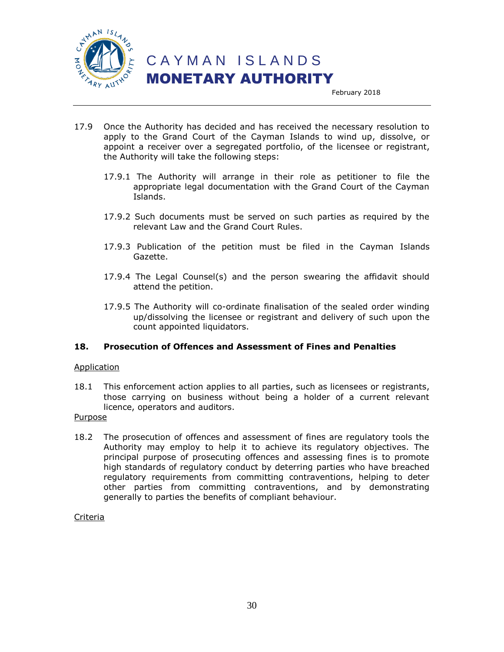

 C A Y M A N I S L A N D S MONETARY AUTHORITY

February 2018

- 17.9 Once the Authority has decided and has received the necessary resolution to apply to the Grand Court of the Cayman Islands to wind up, dissolve, or appoint a receiver over a segregated portfolio, of the licensee or registrant, the Authority will take the following steps:
	- 17.9.1 The Authority will arrange in their role as petitioner to file the appropriate legal documentation with the Grand Court of the Cayman Islands.
	- 17.9.2 Such documents must be served on such parties as required by the relevant Law and the Grand Court Rules.
	- 17.9.3 Publication of the petition must be filed in the Cayman Islands Gazette.
	- 17.9.4 The Legal Counsel(s) and the person swearing the affidavit should attend the petition.
	- 17.9.5 The Authority will co-ordinate finalisation of the sealed order winding up/dissolving the licensee or registrant and delivery of such upon the count appointed liquidators.

#### **18. Prosecution of Offences and Assessment of Fines and Penalties**

#### Application

18.1 This enforcement action applies to all parties, such as licensees or registrants, those carrying on business without being a holder of a current relevant licence, operators and auditors.

#### Purpose

18.2 The prosecution of offences and assessment of fines are regulatory tools the Authority may employ to help it to achieve its regulatory objectives. The principal purpose of prosecuting offences and assessing fines is to promote high standards of regulatory conduct by deterring parties who have breached regulatory requirements from committing contraventions, helping to deter other parties from committing contraventions, and by demonstrating generally to parties the benefits of compliant behaviour.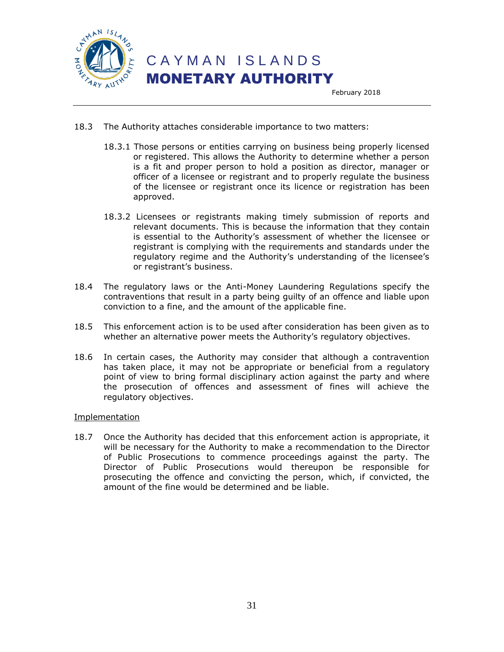

- 18.3 The Authority attaches considerable importance to two matters:
	- 18.3.1 Those persons or entities carrying on business being properly licensed or registered. This allows the Authority to determine whether a person is a fit and proper person to hold a position as director, manager or officer of a licensee or registrant and to properly regulate the business of the licensee or registrant once its licence or registration has been approved.
	- 18.3.2 Licensees or registrants making timely submission of reports and relevant documents. This is because the information that they contain is essential to the Authority's assessment of whether the licensee or registrant is complying with the requirements and standards under the regulatory regime and the Authority's understanding of the licensee's or registrant's business.
- 18.4 The regulatory laws or the Anti-Money Laundering Regulations specify the contraventions that result in a party being guilty of an offence and liable upon conviction to a fine, and the amount of the applicable fine.
- 18.5 This enforcement action is to be used after consideration has been given as to whether an alternative power meets the Authority's regulatory objectives.
- 18.6 In certain cases, the Authority may consider that although a contravention has taken place, it may not be appropriate or beneficial from a regulatory point of view to bring formal disciplinary action against the party and where the prosecution of offences and assessment of fines will achieve the regulatory objectives.

#### Implementation

18.7 Once the Authority has decided that this enforcement action is appropriate, it will be necessary for the Authority to make a recommendation to the Director of Public Prosecutions to commence proceedings against the party. The Director of Public Prosecutions would thereupon be responsible for prosecuting the offence and convicting the person, which, if convicted, the amount of the fine would be determined and be liable.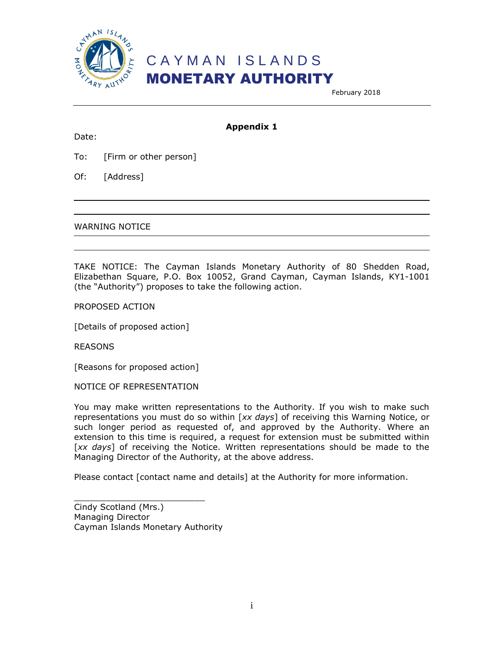

February 2018

#### Date:

**Appendix 1**

To: [Firm or other person]

Of: [Address]

WARNING NOTICE

TAKE NOTICE: The Cayman Islands Monetary Authority of 80 Shedden Road, Elizabethan Square, P.O. Box 10052, Grand Cayman, Cayman Islands, KY1-1001 (the "Authority") proposes to take the following action.

PROPOSED ACTION

[Details of proposed action]

REASONS

[Reasons for proposed action]

NOTICE OF REPRESENTATION

You may make written representations to the Authority. If you wish to make such representations you must do so within [*xx days*] of receiving this Warning Notice, or such longer period as requested of, and approved by the Authority. Where an extension to this time is required, a request for extension must be submitted within [*xx days*] of receiving the Notice. Written representations should be made to the Managing Director of the Authority, at the above address.

Please contact [contact name and details] at the Authority for more information.

Cindy Scotland (Mrs.) Managing Director Cayman Islands Monetary Authority

\_\_\_\_\_\_\_\_\_\_\_\_\_\_\_\_\_\_\_\_\_\_\_\_\_